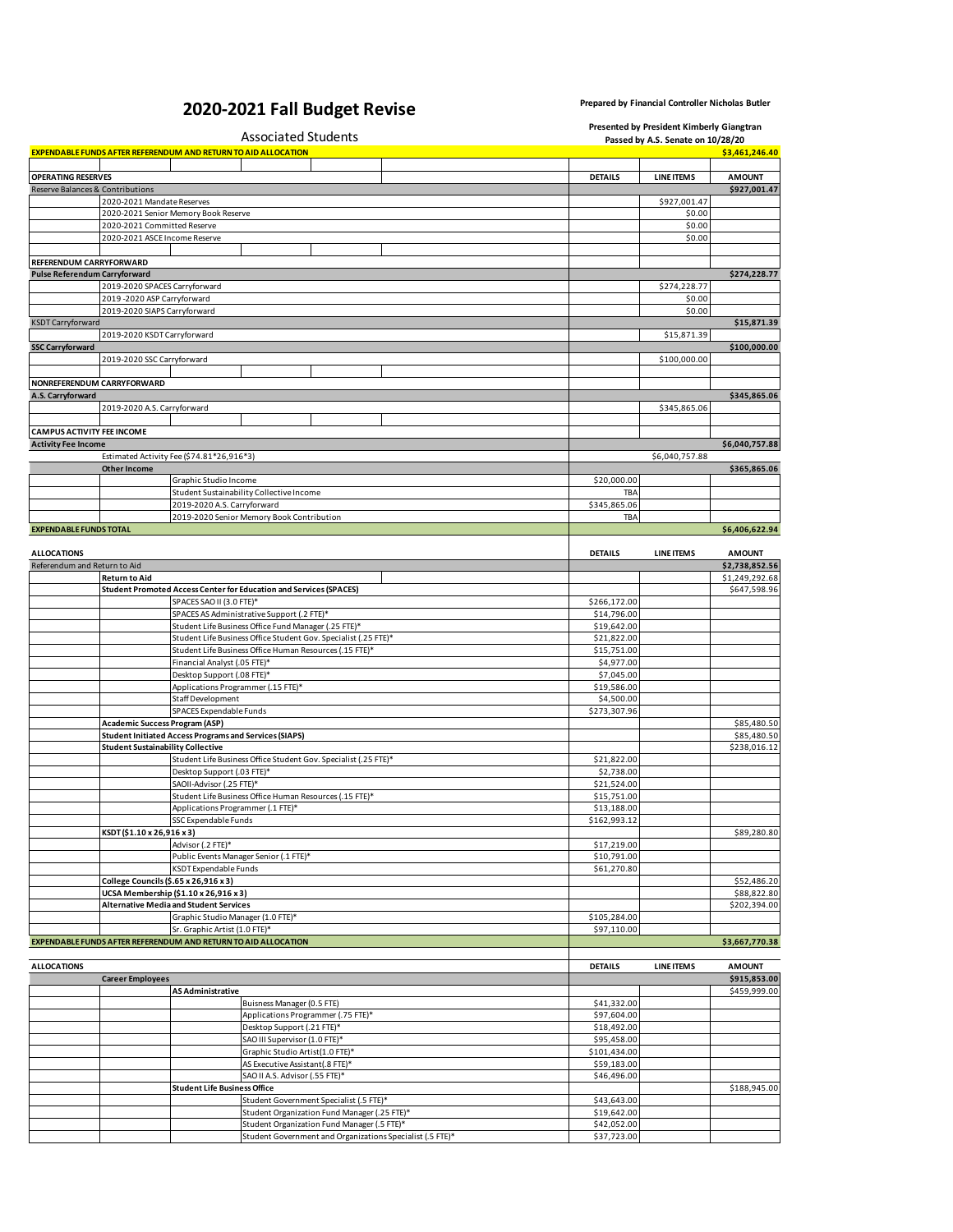## **2020-2021 Fall Budget Revise Prepared by Financial Controller Nicholas Butler**

|                                   |                                                                       |                                                               | Associated Students                                                       | Presented by President Kimberly Giangtran<br>Passed by A.S. Senate on 10/28/20 |                   |                                |  |
|-----------------------------------|-----------------------------------------------------------------------|---------------------------------------------------------------|---------------------------------------------------------------------------|--------------------------------------------------------------------------------|-------------------|--------------------------------|--|
|                                   | <b>EXPENDABLE FUNDS AFTER REFERENDUM AND RETURN TO AID ALLOCATION</b> |                                                               |                                                                           |                                                                                |                   | \$3,461,246.40                 |  |
| <b>OPERATING RESERVES</b>         |                                                                       |                                                               |                                                                           | <b>DETAILS</b>                                                                 | <b>LINE ITEMS</b> | <b>AMOUNT</b>                  |  |
|                                   | Reserve Balances & Contributions                                      |                                                               |                                                                           |                                                                                |                   | \$927,001.47                   |  |
|                                   | 2020-2021 Mandate Reserves                                            |                                                               |                                                                           |                                                                                | \$927,001.47      |                                |  |
|                                   |                                                                       | 2020-2021 Senior Memory Book Reserve                          |                                                                           |                                                                                | \$0.00<br>\$0.00  |                                |  |
|                                   | 2020-2021 Committed Reserve<br>2020-2021 ASCE Income Reserve          |                                                               |                                                                           |                                                                                | \$0.00            |                                |  |
|                                   |                                                                       |                                                               |                                                                           |                                                                                |                   |                                |  |
| REFERENDUM CARRYFORWARD           |                                                                       |                                                               |                                                                           |                                                                                |                   |                                |  |
| Pulse Referendum Carryforward     |                                                                       |                                                               |                                                                           |                                                                                |                   | \$274,228.77                   |  |
|                                   | 2019-2020 SPACES Carryforward                                         |                                                               |                                                                           |                                                                                | \$274,228.77      |                                |  |
|                                   | 2019-2020 ASP Carryforward                                            |                                                               |                                                                           |                                                                                | \$0.00            |                                |  |
|                                   | 2019-2020 SIAPS Carryforward                                          |                                                               |                                                                           |                                                                                | \$0.00            |                                |  |
| KSDT Carryforward                 |                                                                       |                                                               |                                                                           |                                                                                |                   | \$15,871.39                    |  |
| <b>SSC Carryforward</b>           | 2019-2020 KSDT Carryforward                                           |                                                               |                                                                           |                                                                                | \$15,871.39       | \$100,000.00                   |  |
|                                   | 2019-2020 SSC Carryforward                                            |                                                               |                                                                           |                                                                                | \$100,000.00      |                                |  |
|                                   |                                                                       |                                                               |                                                                           |                                                                                |                   |                                |  |
|                                   | NONREFERENDUM CARRYFORWARD                                            |                                                               |                                                                           |                                                                                |                   |                                |  |
| A.S. Carryforward                 |                                                                       |                                                               |                                                                           |                                                                                |                   | \$345,865.06                   |  |
|                                   | 2019-2020 A.S. Carryforward                                           |                                                               |                                                                           |                                                                                | \$345,865.06      |                                |  |
|                                   |                                                                       |                                                               |                                                                           |                                                                                |                   |                                |  |
| <b>CAMPUS ACTIVITY FEE INCOME</b> |                                                                       |                                                               |                                                                           |                                                                                |                   |                                |  |
| <b>Activity Fee Income</b>        |                                                                       |                                                               |                                                                           |                                                                                |                   | \$6,040,757.88                 |  |
|                                   | <b>Other Income</b>                                                   | Estimated Activity Fee (\$74.81*26,916*3)                     |                                                                           |                                                                                | \$6,040,757.88    | \$365,865.06                   |  |
|                                   |                                                                       | Graphic Studio Income                                         |                                                                           | \$20,000.00                                                                    |                   |                                |  |
|                                   |                                                                       |                                                               | Student Sustainability Collective Income                                  | TBA                                                                            |                   |                                |  |
|                                   |                                                                       | 2019-2020 A.S. Carryforward                                   |                                                                           | \$345,865.06                                                                   |                   |                                |  |
|                                   |                                                                       |                                                               | 2019-2020 Senior Memory Book Contribution                                 | TBA                                                                            |                   |                                |  |
| <b>EXPENDABLE FUNDS TOTAL</b>     |                                                                       |                                                               |                                                                           |                                                                                |                   | \$6,406,622.94                 |  |
|                                   |                                                                       |                                                               |                                                                           |                                                                                |                   |                                |  |
| <b>ALLOCATIONS</b>                |                                                                       |                                                               |                                                                           | <b>DETAILS</b>                                                                 | <b>LINE ITEMS</b> | <b>AMOUNT</b>                  |  |
| Referendum and Return to Aid      |                                                                       |                                                               |                                                                           |                                                                                |                   | \$2,738,852.56                 |  |
|                                   | <b>Return to Aid</b>                                                  |                                                               | <b>Student Promoted Access Center for Education and Services (SPACES)</b> |                                                                                |                   | \$1,249,292.68<br>\$647,598.96 |  |
|                                   |                                                                       | SPACES SAO II (3.0 FTE)*                                      |                                                                           | \$266,172.00                                                                   |                   |                                |  |
|                                   |                                                                       |                                                               | SPACES AS Administrative Support (.2 FTE)*                                | \$14,796.00                                                                    |                   |                                |  |
|                                   |                                                                       |                                                               | Student Life Business Office Fund Manager (.25 FTE)*                      | \$19,642.00                                                                    |                   |                                |  |
|                                   |                                                                       |                                                               | Student Life Business Office Student Gov. Specialist (.25 FTE)*           | \$21,822.00                                                                    |                   |                                |  |
|                                   |                                                                       |                                                               | Student Life Business Office Human Resources (.15 FTE)*                   | \$15,751.00                                                                    |                   |                                |  |
|                                   |                                                                       | Financial Analyst (.05 FTE)*                                  |                                                                           | \$4,977.00                                                                     |                   |                                |  |
|                                   |                                                                       | Desktop Support (.08 FTE)*                                    |                                                                           | \$7,045.00                                                                     |                   |                                |  |
|                                   |                                                                       | Applications Programmer (.15 FTE)*                            |                                                                           | \$19,586.00                                                                    |                   |                                |  |
|                                   |                                                                       | Staff Development<br>SPACES Expendable Funds                  |                                                                           | \$4,500.00<br>\$273,307.96                                                     |                   |                                |  |
|                                   | Academic Success Program (ASP)                                        |                                                               |                                                                           |                                                                                |                   | \$85,480.50                    |  |
|                                   |                                                                       | <b>Student Initiated Access Programs and Services (SIAPS)</b> |                                                                           |                                                                                |                   | \$85,480.50                    |  |
|                                   | <b>Student Sustainability Collective</b>                              |                                                               |                                                                           |                                                                                |                   | \$238,016.12                   |  |
|                                   |                                                                       |                                                               | Student Life Business Office Student Gov. Specialist (.25 FTE)*           | \$21,822.00                                                                    |                   |                                |  |
|                                   |                                                                       | Desktop Support (.03 FTE)*                                    |                                                                           | \$2,738.00                                                                     |                   |                                |  |
|                                   |                                                                       | SAOII-Advisor (.25 FTE)*                                      |                                                                           | \$21,524.00                                                                    |                   |                                |  |
|                                   |                                                                       |                                                               | Student Life Business Office Human Resources (.15 FTE)*                   | \$15,751.00                                                                    |                   |                                |  |
|                                   |                                                                       | Applications Programmer (.1 FTE)*                             |                                                                           | \$13,188.00                                                                    |                   |                                |  |
|                                   | KSDT(\$1.10 x 26,916 x 3)                                             | SSC Expendable Funds                                          |                                                                           | \$162,993.12                                                                   |                   | \$89,280.80                    |  |
|                                   |                                                                       | Advisor (.2 FTE)*                                             |                                                                           | \$17,219.00                                                                    |                   |                                |  |
|                                   |                                                                       |                                                               | Public Events Manager Senior (.1 FTE)*                                    | \$10,791.00                                                                    |                   |                                |  |
|                                   |                                                                       | KSDT Expendable Funds                                         |                                                                           | \$61,270.80                                                                    |                   |                                |  |
|                                   | College Councils (\$.65 x 26,916 x 3)                                 |                                                               |                                                                           |                                                                                |                   | \$52,486.20                    |  |
|                                   |                                                                       | UCSA Membership (\$1.10 x 26,916 x 3)                         |                                                                           |                                                                                |                   | \$88,822.80                    |  |
|                                   |                                                                       | <b>Alternative Media and Student Services</b>                 |                                                                           |                                                                                |                   | \$202,394.00                   |  |
|                                   |                                                                       | Graphic Studio Manager (1.0 FTE)*                             |                                                                           | \$105,284.00                                                                   |                   |                                |  |
|                                   |                                                                       | Sr. Graphic Artist (1.0 FTE)*                                 |                                                                           | \$97,110.00                                                                    |                   |                                |  |
|                                   | EXPENDABLE FUNDS AFTER REFERENDUM AND RETURN TO AID ALLOCATION        |                                                               |                                                                           |                                                                                |                   | \$3,667,770.38                 |  |
| <b>ALLOCATIONS</b>                |                                                                       |                                                               |                                                                           | <b>DETAILS</b>                                                                 | <b>LINE ITEMS</b> | <b>AMOUNT</b>                  |  |
|                                   | <b>Career Employees</b>                                               |                                                               |                                                                           |                                                                                |                   | \$915,853.00                   |  |
|                                   |                                                                       | AS Administrative                                             |                                                                           |                                                                                |                   | \$459,999.00                   |  |
|                                   |                                                                       |                                                               | Buisness Manager (0.5 FTE)                                                | \$41,332.00                                                                    |                   |                                |  |
|                                   |                                                                       |                                                               | Applications Programmer (.75 FTE)*                                        | \$97,604.00                                                                    |                   |                                |  |
|                                   |                                                                       |                                                               | Desktop Support (.21 FTE)*                                                | \$18,492.00                                                                    |                   |                                |  |
|                                   |                                                                       |                                                               | SAO III Supervisor (1.0 FTE)*                                             | \$95,458.00                                                                    |                   |                                |  |
|                                   |                                                                       |                                                               | Graphic Studio Artist(1.0 FTE)*                                           | \$101,434.00                                                                   |                   |                                |  |
|                                   |                                                                       |                                                               | AS Executive Assistant(.8 FTE)*                                           | \$59,183.00                                                                    |                   |                                |  |
|                                   |                                                                       | <b>Student Life Business Office</b>                           | SAO II A.S. Advisor (.55 FTE)*                                            | \$46,496.00                                                                    |                   | \$188,945.00                   |  |
|                                   |                                                                       |                                                               | Student Government Specialist (.5 FTE)*                                   | \$43,643.00                                                                    |                   |                                |  |
|                                   |                                                                       |                                                               | Student Organization Fund Manager (.25 FTE)*                              | \$19,642.00                                                                    |                   |                                |  |
|                                   |                                                                       |                                                               | Student Organization Fund Manager (.5 FTE)*                               | \$42,052.00                                                                    |                   |                                |  |
|                                   |                                                                       |                                                               | Student Government and Organizations Specialist (.5 FTE)*                 | \$37,723.00                                                                    |                   |                                |  |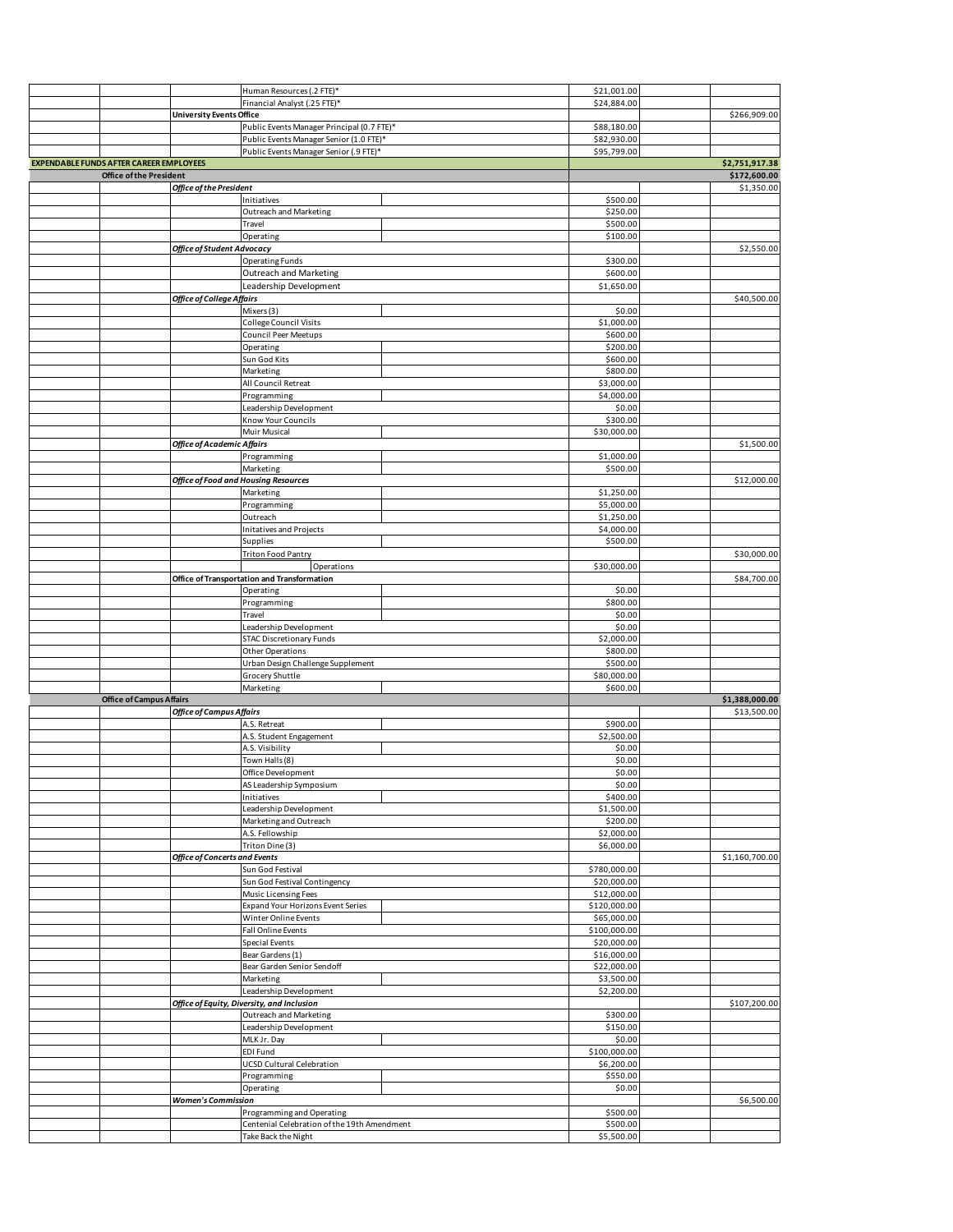|                                                |                                      |                                             | \$21,001.00  |                |
|------------------------------------------------|--------------------------------------|---------------------------------------------|--------------|----------------|
|                                                |                                      | Human Resources (.2 FTE)*                   |              |                |
|                                                |                                      | Financial Analyst (.25 FTE)*                | \$24,884.00  |                |
|                                                | <b>University Events Office</b>      |                                             |              | \$266,909.00   |
|                                                |                                      | Public Events Manager Principal (0.7 FTE)*  | \$88,180.00  |                |
|                                                |                                      | Public Events Manager Senior (1.0 FTE)*     | \$82,930.00  |                |
|                                                |                                      | Public Events Manager Senior (.9 FTE)*      | \$95,799.00  |                |
| <b>EXPENDABLE FUNDS AFTER CAREER EMPLOYEES</b> |                                      |                                             |              | \$2,751,917.38 |
| <b>Office of the President</b>                 |                                      |                                             |              | \$172,600.00   |
|                                                |                                      |                                             |              |                |
|                                                | Office of the President              |                                             |              | \$1,350.00     |
|                                                |                                      | Initiatives                                 | \$500.00     |                |
|                                                |                                      | Outreach and Marketing                      | \$250.00     |                |
|                                                |                                      | Travel                                      | \$500.00     |                |
|                                                |                                      | Operating                                   | \$100.00     |                |
|                                                | <b>Office of Student Advocacy</b>    |                                             |              |                |
|                                                |                                      |                                             |              | \$2,550.00     |
|                                                |                                      | <b>Operating Funds</b>                      | \$300.00     |                |
|                                                |                                      | <b>Outreach and Marketing</b>               | \$600.00     |                |
|                                                |                                      | Leadership Development                      | \$1,650.00   |                |
|                                                | Office of College Affairs            |                                             |              | \$40,500.00    |
|                                                |                                      | Mixers (3)                                  | \$0.00       |                |
|                                                |                                      |                                             |              |                |
|                                                |                                      | College Council Visits                      | \$1,000.00   |                |
|                                                |                                      | <b>Council Peer Meetups</b>                 | \$600.00     |                |
|                                                |                                      | Operating                                   | \$200.00     |                |
|                                                |                                      | Sun God Kits                                | \$600.00     |                |
|                                                |                                      | Marketing                                   | \$800.00     |                |
|                                                |                                      |                                             |              |                |
|                                                |                                      | All Council Retreat                         | \$3,000.00   |                |
|                                                |                                      | Programming                                 | \$4,000.00   |                |
|                                                |                                      | Leadership Development                      | \$0.00       |                |
|                                                |                                      | Know Your Councils                          | \$300.00     |                |
|                                                |                                      | Muir Musical                                | \$30,000.00  |                |
|                                                |                                      |                                             |              |                |
|                                                | Office of Academic Affairs           |                                             |              | \$1,500.00     |
|                                                |                                      | Programming                                 | \$1,000.00   |                |
|                                                |                                      | Marketing                                   | \$500.00     |                |
|                                                |                                      | <b>Office of Food and Housing Resources</b> |              | \$12,000.00    |
|                                                |                                      | Marketing                                   | \$1,250.00   |                |
|                                                |                                      | Programming                                 | \$5,000.00   |                |
|                                                |                                      |                                             |              |                |
|                                                |                                      | Outreach                                    | \$1,250.00   |                |
|                                                |                                      | Initatives and Projects                     | \$4,000.00   |                |
|                                                |                                      | Supplies                                    | \$500.00     |                |
|                                                |                                      | <b>Triton Food Pantry</b>                   |              | \$30,000.00    |
|                                                |                                      | Operations                                  | \$30,000.00  |                |
|                                                |                                      |                                             |              | \$84,700.00    |
|                                                |                                      | Office of Transportation and Transformation |              |                |
|                                                |                                      | Operating                                   | \$0.00       |                |
|                                                |                                      | Programming                                 | \$800.00     |                |
|                                                |                                      | Travel                                      | \$0.00       |                |
|                                                |                                      |                                             |              |                |
|                                                |                                      |                                             |              |                |
|                                                |                                      | Leadership Development                      | \$0.00       |                |
|                                                |                                      | <b>STAC Discretionary Funds</b>             | \$2,000.00   |                |
|                                                |                                      | <b>Other Operations</b>                     | \$800.00     |                |
|                                                |                                      | Urban Design Challenge Supplement           | \$500.00     |                |
|                                                |                                      | Grocery Shuttle                             | \$80,000.00  |                |
|                                                |                                      | Marketing                                   | \$600.00     |                |
|                                                |                                      |                                             |              |                |
| <b>Office of Campus Affairs</b>                |                                      |                                             |              | \$1,388,000.00 |
|                                                | <b>Office of Campus Affairs</b>      |                                             |              | \$13,500.00    |
|                                                |                                      | A.S. Retreat                                | \$900.00     |                |
|                                                |                                      | A.S. Student Engagement                     | \$2,500.00   |                |
|                                                |                                      | A.S. Visibility                             | \$0.00       |                |
|                                                |                                      | Town Halls (8)                              | \$0.00       |                |
|                                                |                                      |                                             |              |                |
|                                                |                                      | Office Development                          | \$0.00       |                |
|                                                |                                      | AS Leadership Symposium                     | \$0.00       |                |
|                                                |                                      | Initiatives                                 | \$400.00     |                |
|                                                |                                      | Leadership Development                      | \$1,500.00   |                |
|                                                |                                      | Marketing and Outreach                      | \$200.00     |                |
|                                                |                                      | A.S. Fellowship                             | \$2,000.00   |                |
|                                                |                                      | Triton Dine (3)                             | \$6,000.00   |                |
|                                                | <b>Office of Concerts and Events</b> |                                             |              |                |
|                                                |                                      |                                             |              | \$1,160,700.00 |
|                                                |                                      | Sun God Festival                            | \$780,000.00 |                |
|                                                |                                      | Sun God Festival Contingency                | \$20,000.00  |                |
|                                                |                                      | Music Licensing Fees                        | \$12,000.00  |                |
|                                                |                                      | <b>Expand Your Horizons Event Series</b>    | \$120,000.00 |                |
|                                                |                                      | Winter Online Events                        | \$65,000.00  |                |
|                                                |                                      |                                             |              |                |
|                                                |                                      | <b>Fall Online Events</b>                   | \$100,000.00 |                |
|                                                |                                      | <b>Special Events</b>                       | \$20,000.00  |                |
|                                                |                                      | Bear Gardens (1)                            | \$16,000.00  |                |
|                                                |                                      | Bear Garden Senior Sendoff                  | \$22,000.00  |                |
|                                                |                                      | Marketing                                   | \$3,500.00   |                |
|                                                |                                      | Leadership Development                      | \$2,200.00   |                |
|                                                |                                      |                                             |              |                |
|                                                |                                      | Office of Equity, Diversity, and Inclusion  |              | \$107,200.00   |
|                                                |                                      | Outreach and Marketing                      | \$300.00     |                |
|                                                |                                      | Leadership Development                      | \$150.00     |                |
|                                                |                                      | MLK Jr. Day                                 | \$0.00       |                |
|                                                |                                      | EDI Fund                                    | \$100,000.00 |                |
|                                                |                                      |                                             |              |                |
|                                                |                                      | <b>UCSD Cultural Celebration</b>            | \$6,200.00   |                |
|                                                |                                      | Programming                                 | \$550.00     |                |
|                                                |                                      | Operating                                   | \$0.00       |                |
|                                                | <b>Women's Commission</b>            |                                             |              | \$6,500.00     |
|                                                |                                      | Programming and Operating                   | \$500.00     |                |
|                                                |                                      | Centenial Celebration of the 19th Amendment | \$500.00     |                |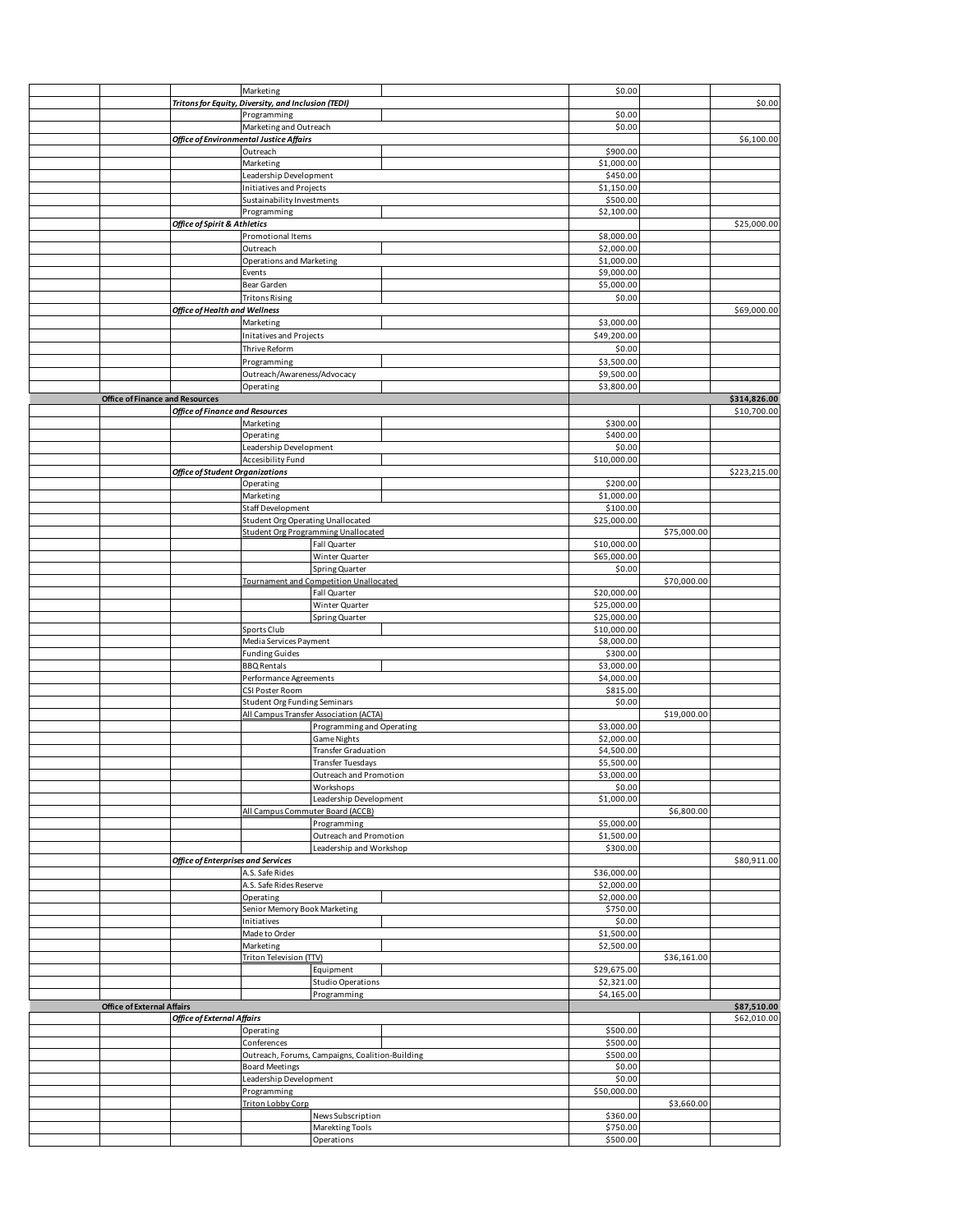|                                        |                                                     | Marketing                                |                                                 | \$0.00               |             |              |
|----------------------------------------|-----------------------------------------------------|------------------------------------------|-------------------------------------------------|----------------------|-------------|--------------|
|                                        | Tritons for Equity, Diversity, and Inclusion (TEDI) |                                          |                                                 |                      |             | \$0.00       |
|                                        |                                                     | Programming                              |                                                 | \$0.00               |             |              |
|                                        |                                                     | Marketing and Outreach                   |                                                 | \$0.00               |             |              |
|                                        |                                                     | Office of Environmental Justice Affairs  |                                                 |                      |             | \$6,100.00   |
|                                        |                                                     | Outreach                                 |                                                 | \$900.00             |             |              |
|                                        |                                                     | Marketing                                |                                                 | \$1,000.00           |             |              |
|                                        |                                                     |                                          |                                                 | \$450.00             |             |              |
|                                        |                                                     | Leadership Development                   |                                                 |                      |             |              |
|                                        |                                                     | Initiatives and Projects                 |                                                 | \$1,150.00           |             |              |
|                                        |                                                     | Sustainability Investments               |                                                 | \$500.00             |             |              |
|                                        |                                                     | Programming                              |                                                 | \$2,100.00           |             |              |
|                                        | Office of Spirit & Athletics                        |                                          |                                                 |                      |             | \$25,000.00  |
|                                        |                                                     | Promotional Items                        |                                                 | \$8,000.00           |             |              |
|                                        |                                                     | Outreach                                 |                                                 | \$2,000.00           |             |              |
|                                        |                                                     |                                          |                                                 |                      |             |              |
|                                        |                                                     | Operations and Marketing                 |                                                 | \$1,000.00           |             |              |
|                                        |                                                     | Events                                   |                                                 | \$9,000.00           |             |              |
|                                        |                                                     | Bear Garden                              |                                                 | \$5,000.00           |             |              |
|                                        |                                                     | <b>Tritons Rising</b>                    |                                                 | \$0.00               |             |              |
|                                        | <b>Office of Health and Wellness</b>                |                                          |                                                 |                      |             | \$69,000.00  |
|                                        |                                                     | Marketing                                |                                                 | \$3,000.00           |             |              |
|                                        |                                                     |                                          |                                                 |                      |             |              |
|                                        |                                                     | Initatives and Projects                  |                                                 | \$49,200.00          |             |              |
|                                        |                                                     | Thrive Reform                            |                                                 | \$0.00               |             |              |
|                                        |                                                     | Programming                              |                                                 | \$3,500.00           |             |              |
|                                        |                                                     | Outreach/Awareness/Advocacy              |                                                 | \$9,500.00           |             |              |
|                                        |                                                     |                                          |                                                 |                      |             |              |
|                                        |                                                     | Operating                                |                                                 | \$3,800.00           |             |              |
| <b>Office of Finance and Resources</b> |                                                     |                                          |                                                 |                      |             | \$314,826.00 |
|                                        | <b>Office of Finance and Resources</b>              |                                          |                                                 |                      |             | \$10,700.00  |
|                                        |                                                     | Marketing                                |                                                 | \$300.00             |             |              |
|                                        |                                                     | Operating                                |                                                 | \$400.00             |             |              |
|                                        |                                                     | Leadership Development                   |                                                 | \$0.00               |             |              |
|                                        |                                                     |                                          |                                                 | \$10,000.00          |             |              |
|                                        |                                                     | Accesibility Fund                        |                                                 |                      |             |              |
|                                        | <b>Office of Student Organizations</b>              |                                          |                                                 |                      |             | \$223,215.00 |
|                                        |                                                     | Operating                                |                                                 | \$200.00             |             |              |
|                                        |                                                     | Marketing                                |                                                 | \$1,000.00           |             |              |
|                                        |                                                     | Staff Development                        |                                                 | \$100.00             |             |              |
|                                        |                                                     | <b>Student Org Operating Unallocated</b> |                                                 | \$25,000.00          |             |              |
|                                        |                                                     |                                          | <b>Student Org Programming Unallocated</b>      |                      | \$75,000.00 |              |
|                                        |                                                     |                                          |                                                 |                      |             |              |
|                                        |                                                     |                                          | Fall Quarter                                    | \$10,000.00          |             |              |
|                                        |                                                     |                                          | Winter Quarter                                  | \$65,000.00          |             |              |
|                                        |                                                     |                                          | Spring Quarter                                  | \$0.00               |             |              |
|                                        |                                                     |                                          | <b>Tournament and Competition Unallocated</b>   |                      | \$70,000.00 |              |
|                                        |                                                     |                                          | Fall Quarter                                    | \$20,000.00          |             |              |
|                                        |                                                     |                                          | Winter Quarter                                  | \$25,000.00          |             |              |
|                                        |                                                     |                                          |                                                 |                      |             |              |
|                                        |                                                     |                                          | Spring Quarter                                  | \$25,000.00          |             |              |
|                                        |                                                     | Sports Club                              |                                                 | \$10,000.00          |             |              |
|                                        |                                                     | Media Services Payment                   |                                                 | \$8,000.00           |             |              |
|                                        |                                                     | <b>Funding Guides</b>                    |                                                 | \$300.00             |             |              |
|                                        |                                                     | <b>BBQ Rentals</b>                       |                                                 | \$3,000.00           |             |              |
|                                        |                                                     | Performance Agreements                   |                                                 | \$4,000.00           |             |              |
|                                        |                                                     | CSI Poster Room                          |                                                 |                      |             |              |
|                                        |                                                     |                                          |                                                 | \$815.00             |             |              |
|                                        |                                                     | <b>Student Org Funding Seminars</b>      |                                                 | \$0.00               |             |              |
|                                        |                                                     |                                          | All Campus Transfer Association (ACTA)          |                      | \$19,000.00 |              |
|                                        |                                                     |                                          | Programming and Operating                       | \$3,000.00           |             |              |
|                                        |                                                     |                                          | Game Nights                                     | \$2,000.00           |             |              |
|                                        |                                                     |                                          | <b>Transfer Graduation</b>                      | \$4,500.00           |             |              |
|                                        |                                                     |                                          | <b>Transfer Tuesdays</b>                        |                      |             |              |
|                                        |                                                     |                                          |                                                 | \$5,500.00           |             |              |
|                                        |                                                     |                                          | Outreach and Promotion                          | \$3,000.00           |             |              |
|                                        |                                                     |                                          | Workshops                                       | \$0.00               |             |              |
|                                        |                                                     |                                          | Leadership Development                          | \$1,000.00           |             |              |
|                                        |                                                     | All Campus Commuter Board (ACCB)         |                                                 |                      | \$6,800.00  |              |
|                                        |                                                     |                                          | Programming                                     | \$5,000.00           |             |              |
|                                        |                                                     |                                          | Outreach and Promotion                          | \$1,500.00           |             |              |
|                                        |                                                     |                                          |                                                 | \$300.00             |             |              |
|                                        |                                                     |                                          | Leadership and Workshop                         |                      |             |              |
|                                        | Office of Enterprises and Services                  |                                          |                                                 |                      |             | \$80,911.00  |
|                                        |                                                     | A.S. Safe Rides                          |                                                 | \$36,000.00          |             |              |
|                                        |                                                     | A.S. Safe Rides Reserve                  |                                                 | \$2,000.00           |             |              |
|                                        |                                                     | Operating                                |                                                 | \$2,000.00           |             |              |
|                                        |                                                     | Senior Memory Book Marketing             |                                                 | \$750.00             |             |              |
|                                        |                                                     | Initiatives                              |                                                 | \$0.00               |             |              |
|                                        |                                                     |                                          |                                                 |                      |             |              |
|                                        |                                                     | Made to Order                            |                                                 | \$1,500.00           |             |              |
|                                        |                                                     | Marketing                                |                                                 | \$2,500.00           |             |              |
|                                        |                                                     | Triton Television (TTV)                  |                                                 |                      | \$36,161.00 |              |
|                                        |                                                     |                                          | Equipment                                       | \$29,675.00          |             |              |
|                                        |                                                     |                                          | <b>Studio Operations</b>                        | \$2,321.00           |             |              |
|                                        |                                                     |                                          | Programming                                     | \$4,165.00           |             |              |
|                                        |                                                     |                                          |                                                 |                      |             |              |
| <b>Office of External Affairs</b>      |                                                     |                                          |                                                 |                      |             | \$87,510.00  |
|                                        | <b>Office of External Affairs</b>                   |                                          |                                                 |                      |             | \$62,010.00  |
|                                        |                                                     | Operating                                |                                                 | \$500.00             |             |              |
|                                        |                                                     | Conferences                              |                                                 | \$500.00             |             |              |
|                                        |                                                     |                                          | Outreach, Forums, Campaigns, Coalition-Building | \$500.00             |             |              |
|                                        |                                                     | <b>Board Meetings</b>                    |                                                 | \$0.00               |             |              |
|                                        |                                                     |                                          |                                                 |                      |             |              |
|                                        |                                                     | Leadership Development                   |                                                 | \$0.00               |             |              |
|                                        |                                                     |                                          |                                                 | \$50,000.00          |             |              |
|                                        |                                                     | Programming                              |                                                 |                      |             |              |
|                                        |                                                     | <b>Triton Lobby Corp</b>                 |                                                 |                      | \$3,660.00  |              |
|                                        |                                                     |                                          |                                                 |                      |             |              |
|                                        |                                                     |                                          | News Subscription                               | \$360.00             |             |              |
|                                        |                                                     |                                          | Marekting Tools<br>Operations                   | \$750.00<br>\$500.00 |             |              |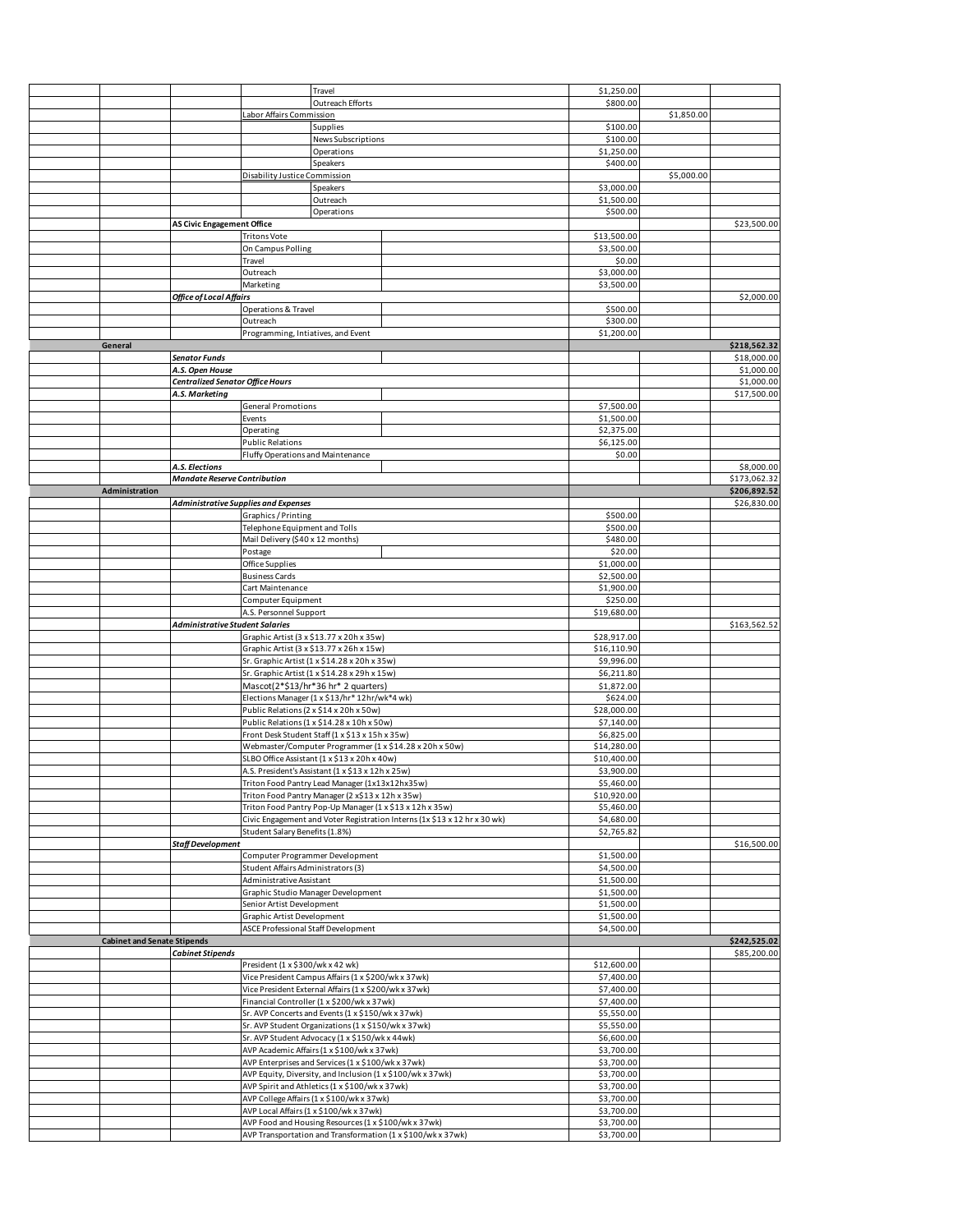|                                    |                                     |                                             | Travel                                                |                                                                           | \$1,250.00               |            |              |
|------------------------------------|-------------------------------------|---------------------------------------------|-------------------------------------------------------|---------------------------------------------------------------------------|--------------------------|------------|--------------|
|                                    |                                     |                                             | Outreach Efforts                                      |                                                                           | \$800.00                 |            |              |
|                                    |                                     | Labor Affairs Commission                    |                                                       |                                                                           |                          | \$1,850.00 |              |
|                                    |                                     |                                             | Supplies                                              |                                                                           | \$100.00                 |            |              |
|                                    |                                     |                                             | News Subscriptions                                    |                                                                           | \$100.00                 |            |              |
|                                    |                                     |                                             | Operations                                            |                                                                           | \$1,250.00               |            |              |
|                                    |                                     |                                             | Speakers                                              |                                                                           | \$400.00                 |            |              |
|                                    |                                     | Disability Justice Commission               |                                                       |                                                                           |                          | \$5,000.00 |              |
|                                    |                                     |                                             | Speakers                                              |                                                                           | \$3,000.00               |            |              |
|                                    |                                     |                                             | Outreach                                              |                                                                           | \$1,500.00               |            |              |
|                                    |                                     |                                             | Operations                                            |                                                                           | \$500.00                 |            |              |
|                                    | <b>AS Civic Engagement Office</b>   |                                             |                                                       |                                                                           |                          |            | \$23,500.00  |
|                                    |                                     | <b>Tritons Vote</b>                         |                                                       |                                                                           | \$13,500.00              |            |              |
|                                    |                                     | On Campus Polling                           |                                                       |                                                                           | \$3,500.00               |            |              |
|                                    |                                     | Travel                                      |                                                       |                                                                           | \$0.00                   |            |              |
|                                    |                                     | Outreach                                    |                                                       |                                                                           | \$3,000.00               |            |              |
|                                    |                                     | Marketing                                   |                                                       |                                                                           | \$3,500.00               |            |              |
|                                    | Office of Local Affairs             |                                             |                                                       |                                                                           |                          |            | \$2,000.00   |
|                                    |                                     | Operations & Travel                         |                                                       |                                                                           | \$500.00                 |            |              |
|                                    |                                     |                                             |                                                       |                                                                           |                          |            |              |
|                                    |                                     | Outreach                                    |                                                       |                                                                           | \$300.00                 |            |              |
|                                    |                                     | Programming, Intiatives, and Event          |                                                       |                                                                           | \$1,200.00               |            |              |
| General                            |                                     |                                             |                                                       |                                                                           |                          |            | \$218,562.32 |
|                                    | <b>Senator Funds</b>                |                                             |                                                       |                                                                           |                          |            | \$18,000.00  |
|                                    | A.S. Open House                     |                                             |                                                       |                                                                           |                          |            | \$1,000.00   |
|                                    | Centralized Senator Office Hours    |                                             |                                                       |                                                                           |                          |            | \$1,000.00   |
|                                    | A.S. Marketing                      |                                             |                                                       |                                                                           |                          |            | \$17,500.00  |
|                                    |                                     | <b>General Promotions</b>                   |                                                       |                                                                           | \$7,500.00               |            |              |
|                                    |                                     | Events                                      |                                                       |                                                                           | \$1,500.00               |            |              |
|                                    |                                     | Operating                                   |                                                       |                                                                           | \$2,375.00               |            |              |
|                                    |                                     | <b>Public Relations</b>                     |                                                       |                                                                           | \$6,125.00               |            |              |
|                                    |                                     | Fluffy Operations and Maintenance           |                                                       |                                                                           | \$0.00                   |            |              |
|                                    | A.S. Elections                      |                                             |                                                       |                                                                           |                          |            | \$8,000.00   |
|                                    | <b>Mandate Reserve Contribution</b> |                                             |                                                       |                                                                           |                          |            | \$173,062.32 |
| Administration                     |                                     |                                             |                                                       |                                                                           |                          |            | \$206,892.52 |
|                                    |                                     | <b>Administrative Supplies and Expenses</b> |                                                       |                                                                           |                          |            | \$26,830.00  |
|                                    |                                     |                                             |                                                       |                                                                           |                          |            |              |
|                                    |                                     | Graphics / Printing                         |                                                       |                                                                           | \$500.00                 |            |              |
|                                    |                                     | Telephone Equipment and Tolls               |                                                       |                                                                           | \$500.00                 |            |              |
|                                    |                                     | Mail Delivery (\$40 x 12 months)            |                                                       |                                                                           | \$480.00                 |            |              |
|                                    |                                     | Postage                                     |                                                       |                                                                           | \$20.00                  |            |              |
|                                    |                                     | Office Supplies                             |                                                       |                                                                           | \$1,000.00               |            |              |
|                                    |                                     | <b>Business Cards</b>                       |                                                       |                                                                           | \$2,500.00               |            |              |
|                                    |                                     | Cart Maintenance                            |                                                       |                                                                           | \$1,900.00               |            |              |
|                                    |                                     | Computer Equipment                          |                                                       |                                                                           | \$250.00                 |            |              |
|                                    |                                     | A.S. Personnel Support                      |                                                       |                                                                           | \$19,680.00              |            |              |
|                                    |                                     |                                             |                                                       |                                                                           |                          |            |              |
|                                    | Administrative Student Salaries     |                                             |                                                       |                                                                           |                          |            | \$163,562.52 |
|                                    |                                     |                                             |                                                       |                                                                           |                          |            |              |
|                                    |                                     |                                             | Graphic Artist (3 x \$13.77 x 20h x 35w)              |                                                                           | \$28,917.00              |            |              |
|                                    |                                     |                                             | Graphic Artist (3 x \$13.77 x 26h x 15w)              |                                                                           | \$16,110.90              |            |              |
|                                    |                                     |                                             | Sr. Graphic Artist (1 x \$14.28 x 20h x 35w)          |                                                                           | \$9,996.00               |            |              |
|                                    |                                     |                                             | Sr. Graphic Artist (1 x \$14.28 x 29h x 15w)          |                                                                           | \$6,211.80               |            |              |
|                                    |                                     |                                             | Mascot(2*\$13/hr*36 hr* 2 quarters)                   |                                                                           | \$1,872.00               |            |              |
|                                    |                                     |                                             | Elections Manager (1 x \$13/hr* 12hr/wk*4 wk)         |                                                                           | \$624.00                 |            |              |
|                                    |                                     |                                             | Public Relations (2 x \$14 x 20h x 50w)               |                                                                           | \$28,000.00              |            |              |
|                                    |                                     |                                             | Public Relations (1 x \$14.28 x 10h x 50w)            |                                                                           | \$7,140.00               |            |              |
|                                    |                                     |                                             | Front Desk Student Staff (1 x \$13 x 15h x 35w)       |                                                                           | \$6,825.00               |            |              |
|                                    |                                     |                                             |                                                       | Webmaster/Computer Programmer (1 x \$14.28 x 20h x 50w)                   | \$14,280.00              |            |              |
|                                    |                                     |                                             | SLBO Office Assistant (1 x \$13 x 20h x 40w)          |                                                                           | \$10,400.00              |            |              |
|                                    |                                     |                                             | A.S. President's Assistant (1 x \$13 x 12h x 25w)     |                                                                           | \$3,900.00               |            |              |
|                                    |                                     |                                             | Triton Food Pantry Lead Manager (1x13x12hx35w)        |                                                                           | \$5,460.00               |            |              |
|                                    |                                     |                                             | Triton Food Pantry Manager (2 x\$13 x 12h x 35w)      |                                                                           | \$10,920.00              |            |              |
|                                    |                                     |                                             |                                                       | Triton Food Pantry Pop-Up Manager (1 x \$13 x 12h x 35w)                  | \$5,460.00               |            |              |
|                                    |                                     |                                             |                                                       | Civic Engagement and Voter Registration Interns (1x \$13 x 12 hr x 30 wk) | \$4,680.00               |            |              |
|                                    |                                     | Student Salary Benefits (1.8%)              |                                                       |                                                                           | \$2,765.82               |            |              |
|                                    |                                     |                                             |                                                       |                                                                           |                          |            |              |
|                                    | Staff Development                   |                                             | Computer Programmer Development                       |                                                                           |                          |            | \$16,500.00  |
|                                    |                                     |                                             |                                                       |                                                                           | \$1,500.00               |            |              |
|                                    |                                     | Student Affairs Administrators (3)          |                                                       |                                                                           | \$4,500.00               |            |              |
|                                    |                                     | Administrative Assistant                    |                                                       |                                                                           | \$1,500.00               |            |              |
|                                    |                                     |                                             | Graphic Studio Manager Development                    |                                                                           | \$1,500.00               |            |              |
|                                    |                                     | Senior Artist Development                   |                                                       |                                                                           | \$1,500.00               |            |              |
|                                    |                                     | Graphic Artist Development                  |                                                       |                                                                           | \$1,500.00               |            |              |
|                                    |                                     | ASCE Professional Staff Development         |                                                       |                                                                           | \$4,500.00               |            |              |
| <b>Cabinet and Senate Stipends</b> |                                     |                                             |                                                       |                                                                           |                          |            | \$242,525.02 |
|                                    | <b>Cabinet Stipends</b>             |                                             |                                                       |                                                                           |                          |            | \$85,200.00  |
|                                    |                                     | President (1 x \$300/wk x 42 wk)            |                                                       |                                                                           | \$12,600.00              |            |              |
|                                    |                                     |                                             | Vice President Campus Affairs (1 x \$200/wk x 37wk)   |                                                                           | \$7,400.00               |            |              |
|                                    |                                     |                                             | Vice President External Affairs (1 x \$200/wk x 37wk) |                                                                           | \$7,400.00               |            |              |
|                                    |                                     |                                             | Financial Controller (1 x \$200/wk x 37wk)            |                                                                           | \$7,400.00               |            |              |
|                                    |                                     |                                             | Sr. AVP Concerts and Events (1 x \$150/wk x 37wk)     |                                                                           | \$5,550.00               |            |              |
|                                    |                                     |                                             | Sr. AVP Student Organizations (1 x \$150/wk x 37wk)   |                                                                           | \$5,550.00               |            |              |
|                                    |                                     |                                             | Sr. AVP Student Advocacy (1 x \$150/wk x 44wk)        |                                                                           | \$6,600.00               |            |              |
|                                    |                                     |                                             | AVP Academic Affairs (1 x \$100/wk x 37wk)            |                                                                           | \$3,700.00               |            |              |
|                                    |                                     |                                             | AVP Enterprises and Services (1 x \$100/wk x 37wk)    |                                                                           | \$3,700.00               |            |              |
|                                    |                                     |                                             |                                                       | AVP Equity, Diversity, and Inclusion (1 x \$100/wk x 37wk)                | \$3,700.00               |            |              |
|                                    |                                     |                                             | AVP Spirit and Athletics (1 x \$100/wk x 37wk)        |                                                                           | \$3,700.00               |            |              |
|                                    |                                     |                                             |                                                       |                                                                           | \$3,700.00               |            |              |
|                                    |                                     |                                             | AVP College Affairs (1 x \$100/wk x 37wk)             |                                                                           |                          |            |              |
|                                    |                                     |                                             | AVP Local Affairs (1 x \$100/wk x 37wk)               |                                                                           | \$3,700.00               |            |              |
|                                    |                                     |                                             | AVP Food and Housing Resources (1 x \$100/wk x 37wk)  | AVP Transportation and Transformation (1 x \$100/wk x 37wk)               | \$3,700.00<br>\$3,700.00 |            |              |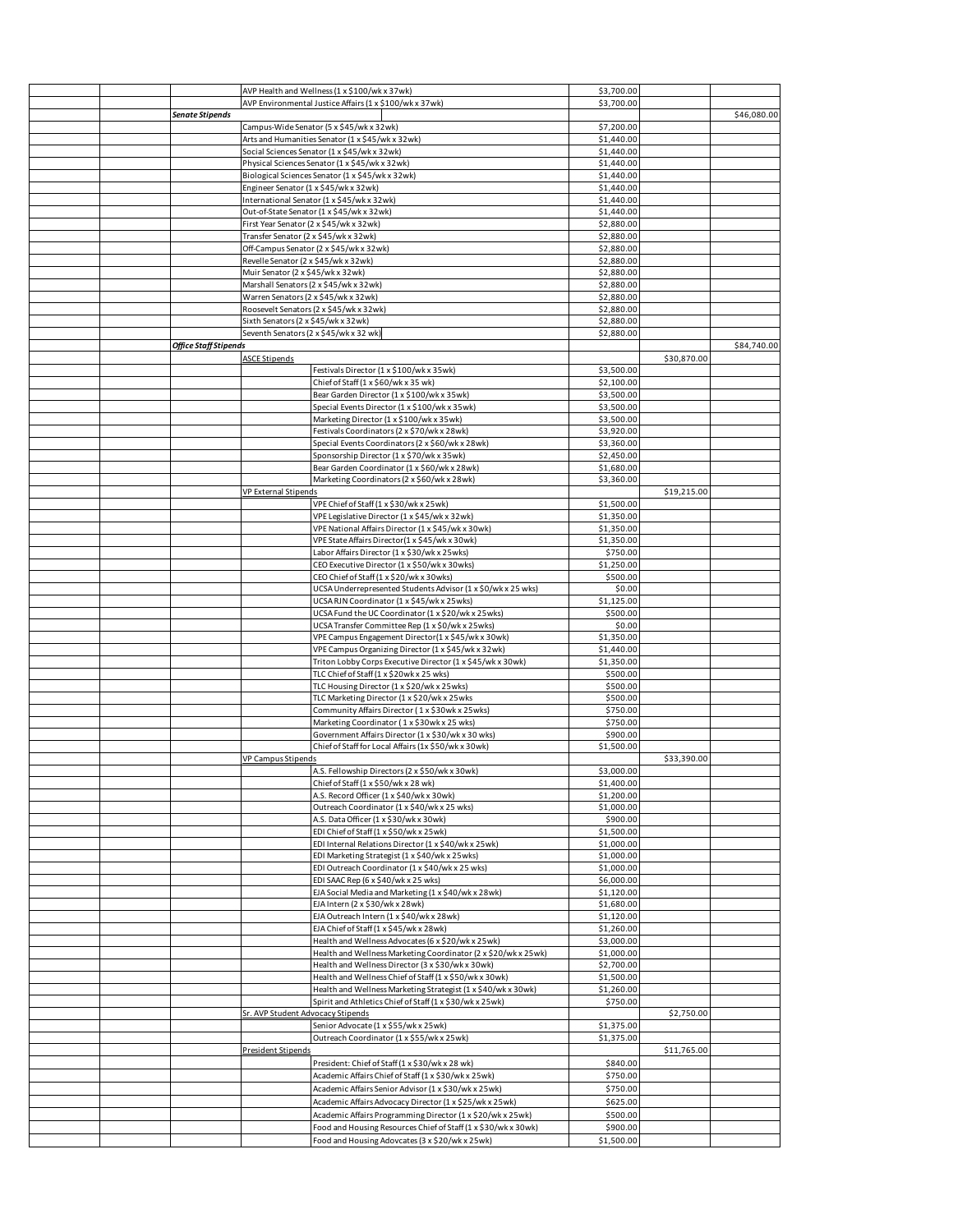|  |                        |                                                                           | AVP Health and Wellness (1 x \$100/wk x 37wk)                                                    | \$3,700.00               |             |             |
|--|------------------------|---------------------------------------------------------------------------|--------------------------------------------------------------------------------------------------|--------------------------|-------------|-------------|
|  |                        | AVP Environmental Justice Affairs (1 x \$100/wk x 37wk)                   |                                                                                                  | \$3,700.00               |             |             |
|  | <b>Senate Stipends</b> |                                                                           |                                                                                                  |                          |             | \$46,080.00 |
|  |                        |                                                                           | Campus-Wide Senator (5 x \$45/wk x 32wk)                                                         | \$7,200.00               |             |             |
|  |                        |                                                                           | Arts and Humanities Senator (1 x \$45/wk x 32wk)                                                 | \$1,440.00               |             |             |
|  |                        |                                                                           | Social Sciences Senator (1 x \$45/wk x 32wk)<br>Physical Sciences Senator (1 x \$45/wk x 32wk)   | \$1,440.00<br>\$1,440.00 |             |             |
|  |                        |                                                                           | Biological Sciences Senator (1 x \$45/wk x 32wk)                                                 | \$1,440.00               |             |             |
|  |                        | Engineer Senator (1 x \$45/wk x 32wk)                                     |                                                                                                  | \$1,440.00               |             |             |
|  |                        |                                                                           | International Senator (1 x \$45/wk x 32wk)                                                       | \$1,440.00               |             |             |
|  |                        |                                                                           | Out-of-State Senator (1 x \$45/wk x 32wk)                                                        | \$1,440.00               |             |             |
|  |                        |                                                                           | First Year Senator (2 x \$45/wk x 32wk)                                                          | \$2,880.00               |             |             |
|  |                        | Transfer Senator (2 x \$45/wk x 32wk)                                     |                                                                                                  | \$2,880.00               |             |             |
|  |                        |                                                                           | Off-Campus Senator (2 x \$45/wk x 32wk)                                                          | \$2,880.00               |             |             |
|  |                        | Revelle Senator (2 x \$45/wk x 32wk)<br>Muir Senator (2 x \$45/wk x 32wk) |                                                                                                  | \$2,880.00               |             |             |
|  |                        |                                                                           | Marshall Senators (2 x \$45/wk x 32wk)                                                           | \$2,880.00<br>\$2,880.00 |             |             |
|  |                        | Warren Senators (2 x \$45/wk x 32wk)                                      |                                                                                                  | \$2,880.00               |             |             |
|  |                        |                                                                           | Roosevelt Senators (2 x \$45/wk x 32wk)                                                          | \$2,880.00               |             |             |
|  |                        | Sixth Senators (2 x \$45/wk x 32wk)                                       |                                                                                                  | \$2,880.00               |             |             |
|  |                        |                                                                           | Seventh Senators (2 x \$45/wk x 32 wk)                                                           | \$2,880.00               |             |             |
|  | Office Staff Stipends  |                                                                           |                                                                                                  |                          |             | \$84,740.00 |
|  |                        | <b>ASCE Stipends</b>                                                      |                                                                                                  |                          | \$30,870.00 |             |
|  |                        |                                                                           | Festivals Director (1 x \$100/wk x 35wk)                                                         | \$3,500.00               |             |             |
|  |                        |                                                                           | Chief of Staff (1 x \$60/wk x 35 wk)                                                             | \$2,100.00               |             |             |
|  |                        |                                                                           | Bear Garden Director (1 x \$100/wk x 35wk)                                                       | \$3,500.00               |             |             |
|  |                        |                                                                           | Special Events Director (1 x \$100/wk x 35wk)                                                    | \$3,500.00               |             |             |
|  |                        |                                                                           | Marketing Director (1 x \$100/wk x 35wk)                                                         | \$3,500.00               |             |             |
|  |                        |                                                                           | Festivals Coordinators (2 x \$70/wk x 28wk)                                                      | \$3,920.00               |             |             |
|  |                        |                                                                           | Special Events Coordinators (2 x \$60/wk x 28wk)<br>Sponsorship Director (1 x \$70/wk x 35wk)    | \$3,360.00<br>\$2,450.00 |             |             |
|  |                        |                                                                           | Bear Garden Coordinator (1 x \$60/wk x 28wk)                                                     | \$1,680.00               |             |             |
|  |                        |                                                                           | Marketing Coordinators (2 x \$60/wk x 28wk)                                                      | \$3,360.00               |             |             |
|  |                        | VP External Stipends                                                      |                                                                                                  |                          | \$19,215.00 |             |
|  |                        |                                                                           | VPE Chief of Staff (1 x \$30/wk x 25wk)                                                          | \$1,500.00               |             |             |
|  |                        |                                                                           | VPE Legislative Director (1 x \$45/wk x 32wk)                                                    | \$1,350.00               |             |             |
|  |                        |                                                                           | VPE National Affairs Director (1 x \$45/wk x 30wk)                                               | \$1,350.00               |             |             |
|  |                        |                                                                           | VPE State Affairs Director(1 x \$45/wk x 30wk)                                                   | \$1,350.00               |             |             |
|  |                        |                                                                           | Labor Affairs Director (1 x \$30/wk x 25wks)                                                     | \$750.00                 |             |             |
|  |                        |                                                                           | CEO Executive Director (1 x \$50/wk x 30wks)                                                     | \$1,250.00               |             |             |
|  |                        |                                                                           | CEO Chief of Staff (1 x \$20/wk x 30wks)                                                         | \$500.00                 |             |             |
|  |                        |                                                                           | UCSA Underrepresented Students Advisor (1 x \$0/wk x 25 wks)                                     | \$0.00                   |             |             |
|  |                        |                                                                           | UCSA RJN Coordinator (1 x \$45/wk x 25wks)<br>UCSA Fund the UC Coordinator (1 x \$20/wk x 25wks) | \$1,125.00<br>\$500.00   |             |             |
|  |                        |                                                                           | UCSA Transfer Committee Rep (1 x \$0/wk x 25wks)                                                 | \$0.00                   |             |             |
|  |                        |                                                                           | VPE Campus Engagement Director(1 x \$45/wk x 30wk)                                               | \$1,350.00               |             |             |
|  |                        |                                                                           | VPE Campus Organizing Director (1 x \$45/wk x 32wk)                                              | \$1,440.00               |             |             |
|  |                        |                                                                           | Triton Lobby Corps Executive Director (1 x \$45/wk x 30wk)                                       | \$1,350.00               |             |             |
|  |                        |                                                                           | TLC Chief of Staff (1 x \$20wk x 25 wks)                                                         | \$500.00                 |             |             |
|  |                        |                                                                           | TLC Housing Director (1 x \$20/wk x 25wks)                                                       | \$500.00                 |             |             |
|  |                        |                                                                           | TLC Marketing Director (1 x \$20/wk x 25wks                                                      | \$500.00                 |             |             |
|  |                        |                                                                           | Community Affairs Director (1 x \$30wk x 25wks)                                                  | \$750.00                 |             |             |
|  |                        |                                                                           | Marketing Coordinator (1 x \$30wk x 25 wks)                                                      | \$750.00                 |             |             |
|  |                        |                                                                           | Government Affairs Director (1 x \$30/wk x 30 wks)                                               | \$900.00                 |             |             |
|  |                        |                                                                           | Chief of Staff for Local Affairs (1x \$50/wk x 30wk)                                             | \$1,500.00               |             |             |
|  |                        | <b>VP Campus Stipends</b>                                                 |                                                                                                  |                          | \$33,390.00 |             |
|  |                        |                                                                           | A.S. Fellowship Directors (2 x \$50/wk x 30wk)                                                   | \$3,000.00<br>\$1,400.00 |             |             |
|  |                        |                                                                           | Chief of Staff (1 x \$50/wk x 28 wk)<br>A.S. Record Officer (1 x \$40/wk x 30wk)                 | \$1,200.00               |             |             |
|  |                        |                                                                           | Outreach Coordinator (1 x \$40/wk x 25 wks)                                                      | \$1,000.00               |             |             |
|  |                        |                                                                           | A.S. Data Officer (1 x \$30/wk x 30wk)                                                           | \$900.00                 |             |             |
|  |                        |                                                                           | EDI Chief of Staff (1 x \$50/wk x 25wk)                                                          | \$1,500.00               |             |             |
|  |                        |                                                                           | EDI Internal Relations Director (1 x \$40/wk x 25wk)                                             | \$1,000.00               |             |             |
|  |                        |                                                                           | EDI Marketing Strategist (1 x \$40/wk x 25wks)                                                   | \$1,000.00               |             |             |
|  |                        |                                                                           | EDI Outreach Coordinator (1 x \$40/wk x 25 wks)                                                  | \$1,000.00               |             |             |
|  |                        |                                                                           | EDI SAAC Rep (6 x \$40/wk x 25 wks)                                                              | \$6,000.00               |             |             |
|  |                        |                                                                           | EJA Social Media and Marketing (1 x \$40/wk x 28wk)                                              | \$1,120.00               |             |             |
|  |                        |                                                                           | EJA Intern (2 x \$30/wk x 28wk)                                                                  | \$1,680.00               |             |             |
|  |                        |                                                                           | EJA Outreach Intern (1 x \$40/wk x 28wk)<br>EJA Chief of Staff (1 x \$45/wk x 28wk)              | \$1,120.00<br>\$1,260.00 |             |             |
|  |                        |                                                                           | Health and Wellness Advocates (6 x \$20/wk x 25wk)                                               | \$3,000.00               |             |             |
|  |                        |                                                                           | Health and Wellness Marketing Coordinator (2 x \$20/wk x 25wk)                                   | \$1,000.00               |             |             |
|  |                        |                                                                           | Health and Wellness Director (3 x \$30/wk x 30wk)                                                | \$2,700.00               |             |             |
|  |                        |                                                                           | Health and Wellness Chief of Staff (1 x \$50/wk x 30wk)                                          | \$1,500.00               |             |             |
|  |                        |                                                                           | Health and Wellness Marketing Strategist (1 x \$40/wk x 30wk)                                    | \$1,260.00               |             |             |
|  |                        |                                                                           | Spirit and Athletics Chief of Staff (1 x \$30/wk x 25wk)                                         | \$750.00                 |             |             |
|  |                        | Sr. AVP Student Advocacy Stipends                                         |                                                                                                  |                          | \$2,750.00  |             |
|  |                        |                                                                           | Senior Advocate (1 x \$55/wk x 25wk)                                                             | \$1,375.00               |             |             |
|  |                        |                                                                           | Outreach Coordinator (1 x \$55/wk x 25wk)                                                        | \$1,375.00               |             |             |
|  |                        | President Stipends                                                        |                                                                                                  |                          | \$11,765.00 |             |
|  |                        |                                                                           | President: Chief of Staff (1 x \$30/wk x 28 wk)                                                  | \$840.00                 |             |             |
|  |                        |                                                                           | Academic Affairs Chief of Staff (1 x \$30/wk x 25wk)                                             | \$750.00                 |             |             |
|  |                        |                                                                           | Academic Affairs Senior Advisor (1 x \$30/wk x 25wk)                                             | \$750.00                 |             |             |
|  |                        |                                                                           | Academic Affairs Advocacy Director (1 x \$25/wk x 25wk)                                          | \$625.00                 |             |             |
|  |                        |                                                                           | Academic Affairs Programming Director (1 x \$20/wk x 25wk)                                       | \$500.00                 |             |             |
|  |                        |                                                                           | Food and Housing Resources Chief of Staff (1 x \$30/wk x 30wk)                                   | \$900.00                 |             |             |
|  |                        |                                                                           | Food and Housing Adovcates (3 x \$20/wk x 25wk)                                                  | \$1,500.00               |             |             |